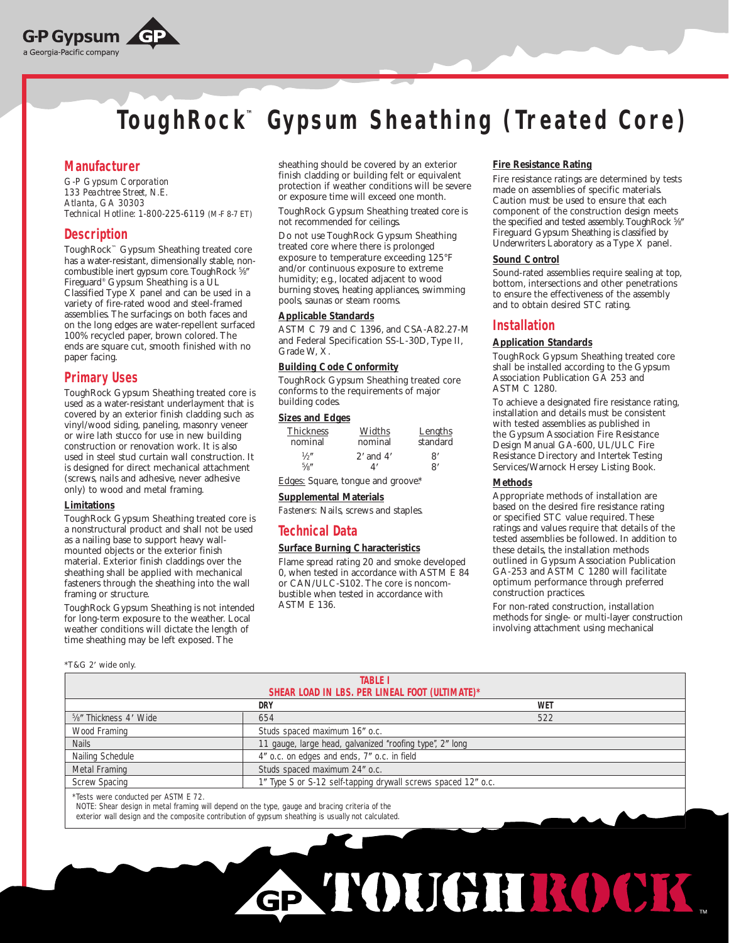

# **ToughRock™ Gypsum Sheathing ( Treated Core)**

# **Manufacturer**

*G-P Gypsum Corporation 133 Peachtree Street, N.E. Atlanta, GA 30303 Technical Hotline: 1-800-225-6119 (M-F 8-7 ET)*

# **Description**

ToughRock™ Gypsum Sheathing treated core has a water-resistant, dimensionally stable, noncombustible inert gypsum core. ToughRock 5/8" Fireguard® Gypsum Sheathing is a UL Classified Type X panel and can be used in a variety of fire-rated wood and steel-framed assemblies. The surfacings on both faces and on the long edges are water-repellent surfaced 100% recycled paper, brown colored. The ends are square cut, smooth finished with no paper facing.

# **Primary Uses**

ToughRock Gypsum Sheathing treated core is used as a water-resistant underlayment that is covered by an exterior finish cladding such as vinyl/wood siding, paneling, masonry veneer or wire lath stucco for use in new building construction or renovation work. It is also used in steel stud curtain wall construction. It is designed for direct mechanical attachment (screws, nails and adhesive, never adhesive only) to wood and metal framing.

#### **Limitations**

ToughRock Gypsum Sheathing treated core is a nonstructural product and shall not be used as a nailing base to support heavy wallmounted objects or the exterior finish material. Exterior finish claddings over the sheathing shall be applied with mechanical fasteners through the sheathing into the wall framing or structure.

ToughRock Gypsum Sheathing is not intended for long-term exposure to the weather. Local weather conditions will dictate the length of time sheathing may be left exposed. The

\*T&G 2 wide only.

sheathing should be covered by an exterior finish cladding or building felt or equivalent protection if weather conditions will be severe or exposure time will exceed one month.

ToughRock Gypsum Sheathing treated core is not recommended for ceilings.

Do not use ToughRock Gypsum Sheathing treated core where there is prolonged exposure to temperature exceeding 125°F and/or continuous exposure to extreme humidity; e.g., located adjacent to wood burning stoves, heating appliances, swimming pools, saunas or steam rooms.

#### **Applicable Standards**

ASTM C 79 and C 1396, and CSA-A82.27-M and Federal Specification SS-L-30D, Type II, Grade W, X.

## **Building Code Conformity**

ToughRock Gypsum Sheathing treated core conforms to the requirements of major building codes.

#### **Sizes and Edges**

| <b>Thickness</b> | Widths        | Lengths       |
|------------------|---------------|---------------|
| nominal          | nominal       | standard      |
| $\frac{1}{2}$    | $2'$ and $4'$ | $\mathsf{R}'$ |
| 5/6''            | Δ'            | $\mathsf{R}'$ |

Edges: Square, tongue and groove\*.

#### **Supplemental Materials**

*Fasteners:* Nails, screws and staples.

# **Technical Data**

#### **Surface Burning Characteristics**

Flame spread rating 20 and smoke developed 0, when tested in accordance with ASTM E 84 or CAN/ULC-S102. The core is noncombustible when tested in accordance with ASTM E 136.

#### **Fire Resistance Rating**

Fire resistance ratings are determined by tests made on assemblies of specific materials. Caution must be used to ensure that each component of the construction design meets the specified and tested assembly. ToughRock 5%" Fireguard Gypsum Sheathing is classified by Underwriters Laboratory as a Type X panel.

#### **Sound Control**

Sound-rated assemblies require sealing at top, bottom, intersections and other penetrations to ensure the effectiveness of the assembly and to obtain desired STC rating.

# **Installation**

#### **Application Standards**

ToughRock Gypsum Sheathing treated core shall be installed according to the Gypsum Association Publication GA 253 and ASTM C 1280.

To achieve a designated fire resistance rating, installation and details must be consistent with tested assemblies as published in the Gypsum Association Fire Resistance Design Manual GA-600, UL/ULC Fire Resistance Directory and Intertek Testing Services/Warnock Hersey Listing Book.

#### **Methods**

GP TOUGHROCK

Appropriate methods of installation are based on the desired fire resistance rating or specified STC value required. These ratings and values require that details of the tested assemblies be followed. In addition to these details, the installation methods outlined in Gypsum Association Publication GA-253 and ASTM C 1280 will facilitate optimum performance through preferred construction practices.

For non-rated construction, installation methods for single- or multi-layer construction involving attachment using mechanical

| <b>TABLE I</b>                                  |                                                               |            |  |  |
|-------------------------------------------------|---------------------------------------------------------------|------------|--|--|
| SHEAR LOAD IN LBS. PER LINEAL FOOT (ULTIMATE)*  |                                                               |            |  |  |
|                                                 | <b>DRY</b>                                                    | <b>WET</b> |  |  |
| <sup>5</sup> / <sub>8</sub> " Thickness 4' Wide | 654                                                           | 522        |  |  |
| Wood Framing                                    | Studs spaced maximum 16" o.c.                                 |            |  |  |
| <b>Nails</b>                                    | 11 gauge, large head, galvanized "roofing type", 2" long      |            |  |  |
| Nailing Schedule                                | 4" o.c. on edges and ends, 7" o.c. in field                   |            |  |  |
| Metal Framing                                   | Studs spaced maximum 24" o.c.                                 |            |  |  |
| <b>Screw Spacing</b>                            | 1" Type S or S-12 self-tapping drywall screws spaced 12" o.c. |            |  |  |
|                                                 |                                                               |            |  |  |

\*Tests were conducted per ASTM E 72.

NOTE: Shear design in metal framing will depend on the type, gauge and bracing criteria of the exterior wall design and the composite contribution of gypsum sheathing is usually not calculated.